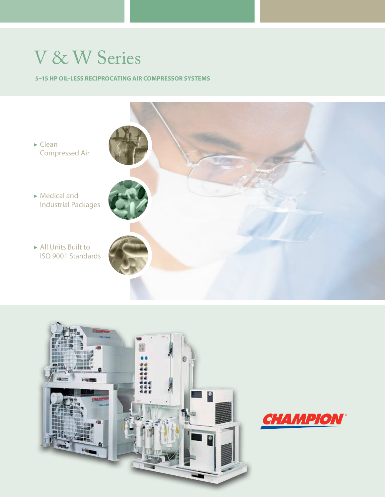# V & W Series

#### **5–15 HP Oil-less Reciprocating Air Compressor Systems**





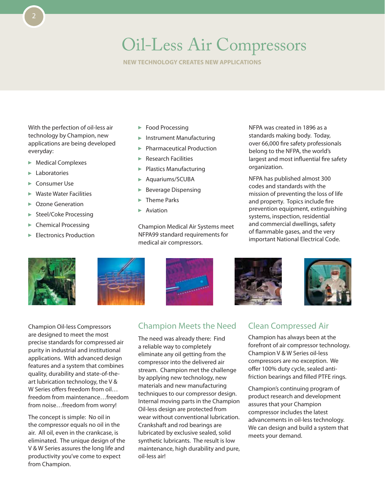# Oil-Less Air Compressors

**New Technology Creates New Applications**

With the perfection of oil-less air technology by Champion, new applications are being developed everyday:

- **Medical Complexes**
- $\blacktriangleright$  Laboratories
- ► Consumer Use
- Waste Water Facilities
- ▶ Ozone Generation
- Steel/Coke Processing
- **Chemical Processing**
- Electronics Production
- **Food Processing**
- **Instrument Manufacturing**
- Pharmaceutical Production
- Research Facilities
- **Plastics Manufacturing**
- Aquariums/SCUBA
- Beverage Dispensing
- Theme Parks
- Aviation

Champion Medical Air Systems meet NFPA99 standard requirements for medical air compressors.

NFPA was created in 1896 as a standards making body. Today, over 66,000 fire safety professionals belong to the NFPA, the world's largest and most influential fire safety organization.

NFPA has published almost 300 codes and standards with the mission of preventing the loss of life and property. Topics include fire prevention equipment, extinguishing systems, inspection, residential and commercial dwellings, safety of flammable gases, and the very important National Electrical Code.





Champion Oil-less Compressors are designed to meet the most precise standards for compressed air purity in industrial and institutional applications. With advanced design features and a system that combines quality, durability and state-of-theart lubrication technology, the V & W Series offers freedom from oil… freedom from maintenance…freedom from noise…freedom from worry!

The concept is simple: No oil in the compressor equals no oil in the air. All oil, even in the crankcase, is eliminated. The unique design of the V & W Series assures the long life and productivity you've come to expect from Champion.

## Champion Meets the Need

The need was already there: Find a reliable way to completely eliminate any oil getting from the compressor into the delivered air stream. Champion met the challenge by applying new technology, new materials and new manufacturing techniques to our compressor design. Internal moving parts in the Champion Oil-less design are protected from wear without conventional lubrication. Crankshaft and rod bearings are lubricated by exclusive sealed, solid synthetic lubricants. The result is low maintenance, high durability and pure, oil-less air!





### Clean Compressed Air

Champion has always been at the forefront of air compressor technology. Champion V & W Series oil-less compressors are no exception. We offer 100% duty cycle, sealed antifriction bearings and filled PTFE rings.

Champion's continuing program of product research and development assures that your Champion compressor includes the latest advancements in oil-less technology. We can design and build a system that meets your demand.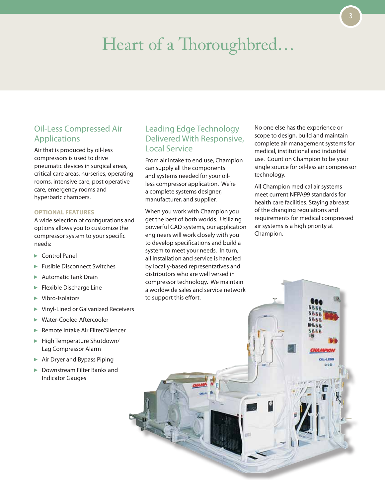# Heart of a Thoroughbred…

### Oil-Less Compressed Air Applications

Air that is produced by oil-less compressors is used to drive pneumatic devices in surgical areas, critical care areas, nurseries, operating rooms, intensive care, post operative care, emergency rooms and hyperbaric chambers.

#### **Optional Features**

A wide selection of configurations and options allows you to customize the compressor system to your specific needs:

- ► Control Panel
- Fusible Disconnect Switches
- Automatic Tank Drain
- $\blacktriangleright$  Flexible Discharge Line
- ▶ Vibro-Isolators
- Vinyl-Lined or Galvanized Receivers
- Water-Cooled Aftercooler
- Remote Intake Air Filter/Silencer
- ► High Temperature Shutdown/ Lag Compressor Alarm
- $\blacktriangleright$  Air Dryer and Bypass Piping
- ▶ Downstream Filter Banks and Indicator Gauges

### Leading Edge Technology Delivered With Responsive, Local Service

From air intake to end use, Champion can supply all the components and systems needed for your oilless compressor application. We're a complete systems designer, manufacturer, and supplier.

When you work with Champion you get the best of both worlds. Utilizing powerful CAD systems, our application engineers will work closely with you to develop specifications and build a system to meet your needs. In turn, all installation and service is handled by locally-based representatives and distributors who are well versed in compressor technology. We maintain a worldwide sales and service network to support this effort.

No one else has the experience or scope to design, build and maintain complete air management systems for medical, institutional and industrial use. Count on Champion to be your single source for oil-less air compressor technology.

All Champion medical air systems meet current NFPA99 standards for health care facilities. Staying abreast of the changing regulations and requirements for medical compressed air systems is a high priority at Champion.

nsp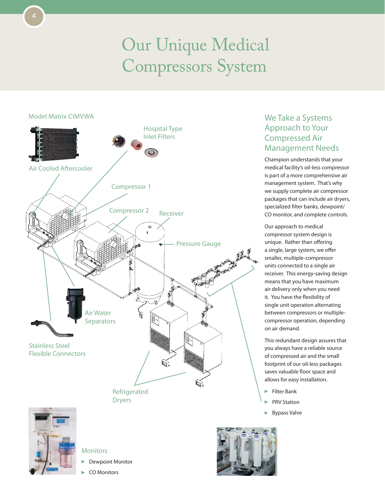# Our Unique Medical Compressors System



## Approach to Your Compressed Air Management Needs Champion understands that your

We Take a Systems

medical facility's oil-less compressor is part of a more comprehensive air management system. That's why we supply complete air compressor packages that can include air dryers, specialized filter banks, dewpoint/ CO monitor, and complete controls.

Our approach to medical compressor system design is unique. Rather than offering a single, large system, we offer smaller, multiple-compressor units connected to a single air receiver. This energy-saving design means that you have maximum air delivery only when you need it. You have the flexibility of single unit operation alternating between compressors or multiplecompressor operation, depending on air demand.

This redundant design assures that you always have a reliable source of compressed air and the small footprint of our oil-less packages saves valuable floor space and allows for easy installation.

- $\blacktriangleright$  Filter Bank
- PRV Station
- Bypass Valve



**Monitors** 

- Dewpoint Monitor
- CO Monitors

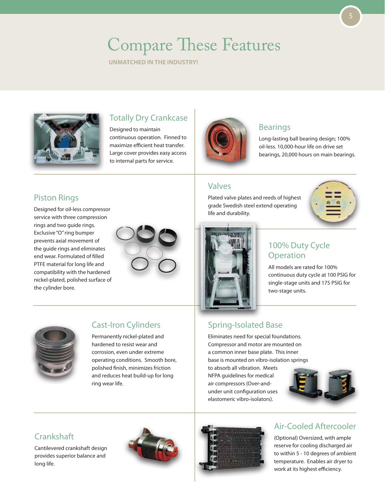# Compare These Features

**Unmatched in the industry!**



## Totally Dry Crankcase

Designed to maintain continuous operation. Finned to maximize efficient heat transfer. Large cover provides easy access to internal parts for service.



### Bearings

Long-lasting ball bearing design; 100% oil-less. 10,000-hour life on drive set bearings, 20,000 hours on main bearings.

### Valves

Plated valve plates and reeds of highest grade Swedish steel extend operating life and durability.



## Piston Rings

Designed for oil-less compressor service with three compression rings and two guide rings. Exclusive "O" ring bumper prevents axial movement of the guide rings and eliminates end wear. Formulated of filled PTFE material for long life and compatibility with the hardened nickel-plated, polished surface of the cylinder bore.





## 100% Duty Cycle Operation

All models are rated for 100% continuous duty cycle at 100 PSIG for single-stage units and 175 PSIG for two-stage units.



## Cast-Iron Cylinders

Permanently nickel-plated and hardened to resist wear and corrosion, even under extreme operating conditions. Smooth bore, polished finish, minimizes friction and reduces heat build-up for long ring wear life.

## Spring-Isolated Base

Eliminates need for special foundations. Compressor and motor are mounted on a common inner base plate. This inner base is mounted on vibro-isolation springs

to absorb all vibration. Meets NFPA guidelines for medical air compressors (Over-andunder unit configuration uses elastomeric vibro-isolators).



## **Crankshaft**

Cantilevered crankshaft design provides superior balance and long life.





## Air-Cooled Aftercooler

(Optional) Oversized, with ample reserve for cooling discharged air to within 5 - 10 degrees of ambient temperature. Enables air dryer to work at its highest efficiency.

5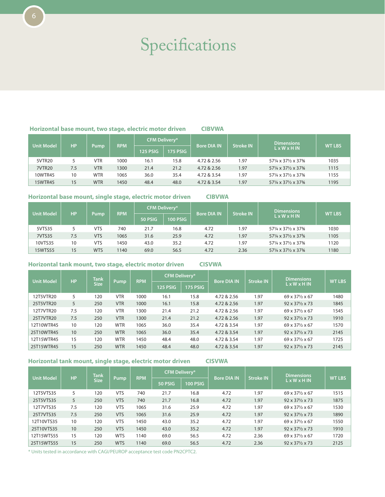# Specifications

#### **Horizontal base mount, two stage, electric motor driven CIBVWA**

| <b>Unit Model</b> | <b>HP</b> |                                     | <b>RPM</b> | <b>CFM Deliverv*</b> |      | <b>Bore DIA IN</b>       | <b>Stroke IN</b> | Dimensions            | <b>WT LBS</b> |
|-------------------|-----------|-------------------------------------|------------|----------------------|------|--------------------------|------------------|-----------------------|---------------|
|                   |           | Pump<br>125 PSIG<br><b>175 PSIG</b> |            |                      |      | $L \times W \times H$ IN |                  |                       |               |
| 5VTR20            |           | <b>VTR</b>                          | 1000       | 16.1                 | 15.8 | 4.72 & 2.56              | 1.97             | 571/4 x 371/2 x 373/8 | 1035          |
| <b>7VTR20</b>     | 7.5       | <b>VTR</b>                          | 1300       | 21.4                 | 21.2 | 4.72 & 2.56              | 1.97             | 571/4 x 371/2 x 373/8 | 1115          |
| 10WTR45           | 10        | <b>WTR</b>                          | 1065       | 36.0                 | 35.4 | 4.72 & 3.54              | 1.97             | 571/4 x 371/2 x 373/8 | 1155          |
| <b>15WTR45</b>    | 15        | <b>WTR</b>                          | 1450       | 48.4                 | 48.0 | 4.72 & 3.54              | 1.97             | 571/4 x 371/2 x 373/8 | 1195          |

#### **Horizontal base mount, single stage, electric motor driven CIBVWA**

| <b>Unit Model</b> | <b>HP</b> |             | <b>RPM</b> | <b>CFM Delivery*</b> |                 | <b>Bore DIA IN</b> | <b>Stroke IN</b> | <b>Dimensions</b>        | <b>WT LBS</b> |
|-------------------|-----------|-------------|------------|----------------------|-----------------|--------------------|------------------|--------------------------|---------------|
|                   |           | <b>Pump</b> |            | 50 PSIG              | <b>100 PSIG</b> |                    |                  | $L \times W \times H$ IN |               |
| 5VTS35            |           | VTS         | 740        | 21.7                 | 16.8            | 4.72               | 1.97             | 571/4 x 371/2 x 373/8    | 1030          |
| 7VTS35            | 7.5       | <b>VTS</b>  | 1065       | 31.6                 | 25.9            | 4.72               | 1.97             | 571/4 x 371/2 x 373/8    | 1105          |
| 10VTS35           | 10        | VTS         | 1450       | 43.0                 | 35.2            | 4.72               | 1.97             | 571/4 x 371/2 x 373/8    | 1120          |
| <b>15WTS55</b>    | 15        | <b>WTS</b>  | 1140       | 69.0                 | 56.5            | 4.72               | 2.36             | 571/4 x 371/2 x 373/8    | 1180          |

#### **Horizontal tank mount, two stage, electric motor driven CISVWA**

|                   | <b>HP</b> | <b>Tank</b><br><b>Size</b> | Pump       | <b>RPM</b> |          | <b>CFM Delivery*</b> |                    | <b>Stroke IN</b> | <b>Dimensions</b>                   | <b>WT LBS</b> |
|-------------------|-----------|----------------------------|------------|------------|----------|----------------------|--------------------|------------------|-------------------------------------|---------------|
| <b>Unit Model</b> |           |                            |            |            | 125 PSIG | 175 PSIG             | <b>Bore DIA IN</b> |                  | $L \times W \times H$ IN            |               |
| 12T5VTR20         | 5         | 120                        | <b>VTR</b> | 1000       | 16.1     | 15.8                 | 4.72 & 2.56        | 1.97             | 69 x 371/2 x 67                     | 1480          |
| 25T5VTR20         | 5         | 250                        | <b>VTR</b> | 1000       | 16.1     | 15.8                 | 4.72 & 2.56        | 1.97             | $92 \times 37\frac{1}{2} \times 73$ | 1845          |
| 12T7VTR20         | 7.5       | 120                        | <b>VTR</b> | 1300       | 21.4     | 21.2                 | 4.72 & 2.56        | 1.97             | 69 x 371/2 x 67                     | 1545          |
| 25T7VTR20         | 7.5       | 250                        | <b>VTR</b> | 1300       | 21.4     | 21.2                 | 4.72 & 2.56        | 1.97             | $92 \times 37\frac{1}{2} \times 73$ | 1910          |
| 12T10WTR45        | 10        | 120                        | <b>WTR</b> | 1065       | 36.0     | 35.4                 | 4.72 & 3.54        | 1.97             | 69 x 371/2 x 67                     | 1570          |
| 25T10WTR45        | 10        | 250                        | <b>WTR</b> | 1065       | 36.0     | 35.4                 | 4.72 & 3.54        | 1.97             | $92 \times 37\frac{1}{2} \times 73$ | 2145          |
| 12T15WTR45        | 15        | 120                        | <b>WTR</b> | 1450       | 48.4     | 48.0                 | 4.72 & 3.54        | 1.97             | 69 x 371/2 x 67                     | 1725          |
| 25T15WTR45        | 15        | 250                        | <b>WTR</b> | 1450       | 48.4     | 48.0                 | 4.72 & 3.54        | 1.97             | $92 \times 37\frac{1}{2} \times 73$ | 2145          |

#### **Horizontal tank mount, single stage, electric motor driven CISVWA**

|                   |           | <b>Tank</b><br><b>Size</b> | Pump       | <b>RPM</b> |         | <b>CFM Delivery*</b> |                    | <b>Stroke IN</b> | <b>Dimensions</b>                   | <b>WT LBS</b> |
|-------------------|-----------|----------------------------|------------|------------|---------|----------------------|--------------------|------------------|-------------------------------------|---------------|
| <b>Unit Model</b> | <b>HP</b> |                            |            |            | 50 PSIG | 100 PSIG             | <b>Bore DIA IN</b> |                  | $L \times W \times H$ IN            |               |
| 12T5VTS35         | 5         | 120                        | VTS        | 740        | 21.7    | 16.8                 | 4.72               | 1.97             | 69 x 371/2 x 67                     | 1515          |
| 25T5VTS35         | 5         | 250                        | <b>VTS</b> | 740        | 21.7    | 16.8                 | 4.72               | 1.97             | $92 \times 37\frac{1}{2} \times 73$ | 1875          |
| 12T7VTS35         | 7.5       | 120                        | <b>VTS</b> | 1065       | 31.6    | 25.9                 | 4.72               | 1.97             | 69 x 371/2 x 67                     | 1530          |
| 25T7VTS35         | 7.5       | 250                        | <b>VTS</b> | 1065       | 31.6    | 25.9                 | 4.72               | 1.97             | $92 \times 37\frac{1}{2} \times 73$ | 1890          |
| 12T10VTS35        | 10        | 120                        | <b>VTS</b> | 1450       | 43.0    | 35.2                 | 4.72               | 1.97             | 69 x 371/2 x 67                     | 1550          |
| 25T10VTS35        | 10        | 250                        | <b>VTS</b> | 1450       | 43.0    | 35.2                 | 4.72               | 1.97             | $92 \times 37\frac{1}{2} \times 73$ | 1910          |
| 12T15WTS55        | 15        | 120                        | <b>WTS</b> | 1140       | 69.0    | 56.5                 | 4.72               | 2.36             | 69 x 371/2 x 67                     | 1720          |
| 25T15WTS55        | 15        | 250                        | <b>WTS</b> | 1140       | 69.0    | 56.5                 | 4.72               | 2.36             | $92 \times 37\frac{1}{2} \times 73$ | 2125          |

\* Units tested in accordance with CAGI/PEUROP acceptance test code PN2CPTC2.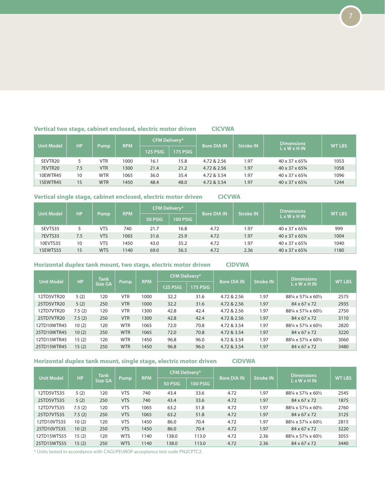#### **Vertical two stage, cabinet enclosed, electric motor driven CICVWA**

|                   |           |            |            | <b>CFM Delivery*</b> |                 |                    |                  | <b>Dimensions</b>            |               |  |
|-------------------|-----------|------------|------------|----------------------|-----------------|--------------------|------------------|------------------------------|---------------|--|
| <b>Unit Model</b> | <b>HP</b> | Pump       | <b>RPM</b> | <b>125 PSIG</b>      | <b>175 PSIG</b> | <b>Bore DIA IN</b> | <b>Stroke IN</b> | $L \times W \times H$ IN     | <b>WT LBS</b> |  |
| 5EVTR20           |           | VTR        | 1000       | 16.1                 | 15.8            | 4.72 & 2.56        | 1.97             | 40 x 37 x 653/4              | 1053          |  |
| 7EVTR20           | 7.5       | <b>VTR</b> | 1300       | 21.4                 | 21.2            | 4.72 & 2.56        | 1.97             | 40 x 37 x 65 <sup>3</sup> /4 | 1058          |  |
| 10EWTR45          | 10        | <b>WTR</b> | 1065       | 36.0                 | 35.4            | 4.72 & 3.54        | 1.97             | 40 x 37 x 65 <sup>3</sup> /4 | 1096          |  |
| 15EWTR45          | 15        | <b>WTR</b> | 1450       | 48.4                 | 48.0            | 4.72 & 3.54        | 1.97             | 40 x 37 x 65 <sup>3</sup> /4 | 1244          |  |

#### **Vertical single stage, cabinet enclosed, electric motor driven CICVWA**

| <b>Unit Model</b> | <b>HP</b> |            | <b>RPM</b>          | <b>CFM Delivery*</b> |      | <b>Bore DIA IN</b> | <b>Stroke IN</b>         | <b>Dimensions</b>                        | <b>WT LBS</b> |
|-------------------|-----------|------------|---------------------|----------------------|------|--------------------|--------------------------|------------------------------------------|---------------|
|                   |           | Pump       | 50 PSIG<br>100 PSIG |                      |      |                    | $L \times W \times H$ IN |                                          |               |
| 5EVTS35           |           | VTS        | 740                 | 21.7                 | 16.8 | 4.72               | 1.97                     | 40 x 37 x 65 <sup>3</sup> /4             | 999           |
| 7EVTS35           | 7.5       | <b>VTS</b> | 1065                | 31.6                 | 25.9 | 4.72               | 1.97                     | 40 x 37 x 65 <sup>3</sup> / <sub>4</sub> | 1004          |
| 10EVTS35          | 10        | <b>VTS</b> | 1450                | 43.0                 | 35.2 | 4.72               | 1.97                     | 40 x 37 x 65 <sup>3</sup> /4             | 1040          |
| 15EWTS55          | 15        | <b>WTS</b> | 1140                | 69.0                 | 56.5 | 4.72               | 2.36                     | 40 x 37 x 65 <sup>3</sup> /4             | 1180          |

#### **Horizontal duplex tank mount, two stage, electric motor driven CIDVWA**

|                   |           | Tank    |            |            | <b>CFM Delivery*</b> |          |                    | <b>Stroke IN</b> | <b>Dimensions</b>        | <b>WT LBS</b> |
|-------------------|-----------|---------|------------|------------|----------------------|----------|--------------------|------------------|--------------------------|---------------|
| <b>Unit Model</b> | <b>HP</b> | Size GA | Pump       | <b>RPM</b> | 125 PSIG             | 175 PSIG | <b>Bore DIA IN</b> |                  | $L \times W \times H$ IN |               |
| 12TD5VTR20        | 5(2)      | 120     | <b>VTR</b> | 1000       | 32.2                 | 31.6     | 4.72 & 2.56        | 1.97             | 881/4 x 571/4 x 601/2    | 2575          |
| 25TD5VTR20        | 5(2)      | 250     | <b>VTR</b> | 1000       | 32.2                 | 31.6     | 4.72 & 2.56        | 1.97             | 84 x 67 x 72             | 2935          |
| 12TD7VTR20        | 7.5(2)    | 120     | <b>VTR</b> | 1300       | 42.8                 | 42.4     | 4.72 & 2.56        | 1.97             | 881/4 x 571/4 x 601/2    | 2750          |
| 25TD7VTR20        | 7.5(2)    | 250     | <b>VTR</b> | 1300       | 42.8                 | 42.4     | 4.72 & 2.56        | 1.97             | 84 x 67 x 72             | 3110          |
| 12TD10WTR45       | 10(2)     | 120     | <b>WTR</b> | 1065       | 72.0                 | 70.8     | 4.72 & 3.54        | 1.97             | 881/4 x 571/4 x 601/2    | 2820          |
| 25TD10WTR45       | 10(2)     | 250     | <b>WTR</b> | 1065       | 72.0                 | 70.8     | 4.72 & 3.54        | 1.97             | 84 x 67 x 72             | 3220          |
| 12TD15WTR45       | 15(2)     | 120     | <b>WTR</b> | 1450       | 96.8                 | 96.0     | 4.72 & 3.54        | 1.97             | 881/4 x 571/4 x 601/2    | 3060          |
| 25TD15WTR45       | 15(2)     | 250     | <b>WTR</b> | 1450       | 96.8                 | 96.0     | 4.72 & 3.54        | 1.97             | 84 x 67 x 72             | 3480          |

#### **Horizontal duplex tank mount, single stage, electric motor driven CIDVWA**

|                   |           | Tank<br>Size GA | Pump       | <b>RPM</b> | <b>CFM Delivery*</b> |          | <b>Bore DIA IN</b> | <b>Stroke IN</b> | <b>Dimensions</b>        | <b>WT LBS</b> |
|-------------------|-----------|-----------------|------------|------------|----------------------|----------|--------------------|------------------|--------------------------|---------------|
| <b>Unit Model</b> | <b>HP</b> |                 |            |            | 50 PSIG              | 100 PSIG |                    |                  | $L \times W \times H$ IN |               |
| 12TD5VTS35        | 5(2)      | 120             | <b>VTS</b> | 740        | 43.4                 | 33.6     | 4.72               | 1.97             | 881/4 x 571/4 x 601/2    | 2545          |
| 25TD5VTS35        | 5(2)      | 250             | <b>VTS</b> | 740        | 43.4                 | 33.6     | 4.72               | 1.97             | 84 x 67 x 72             | 1875          |
| 12TD7VTS35        | 7.5(2)    | 120             | <b>VTS</b> | 1065       | 63.2                 | 51.8     | 4.72               | 1.97             | 881/4 x 571/4 x 601/2    | 2760          |
| 25TD7VTS35        | 7.5(2)    | 250             | <b>VTS</b> | 1065       | 63.2                 | 51.8     | 4.72               | 1.97             | 84 x 67 x 72             | 3125          |
| 12TD10VTS35       | 10(2)     | 120             | <b>VTS</b> | 1450       | 86.0                 | 70.4     | 4.72               | 1.97             | 881/4 x 571/4 x 601/2    | 2815          |
| 25TD10VTS35       | 10(2)     | 250             | <b>VTS</b> | 1450       | 86.0                 | 70.4     | 4.72               | 1.97             | 84 x 67 x 72             | 3220          |
| 12TD15WTS55       | 15(2)     | 120             | <b>WTS</b> | 1140       | 138.0                | 113.0    | 4.72               | 2.36             | 881/4 x 571/4 x 601/2    | 3055          |
| 25TD15WTS55       | 15(2)     | 250             | <b>WTS</b> | 1140       | 138.0                | 113.0    | 4.72               | 2.36             | 84 x 67 x 72             | 3440          |

\* Units tested in accordance with CAGI/PEUROP acceptance test code PN2CPTC2.